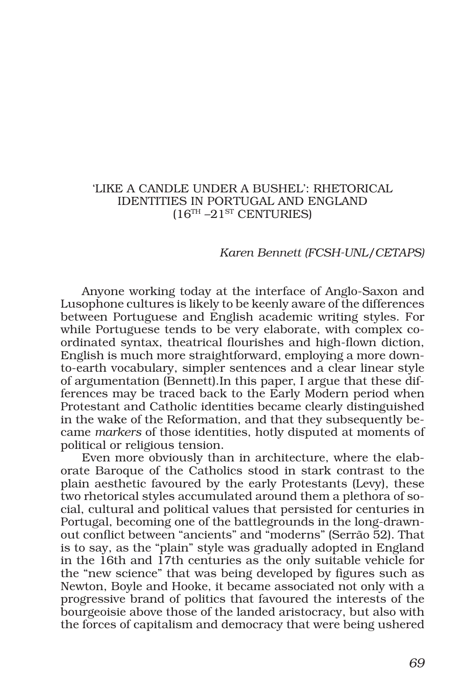### 'LIKE A CANDLE UNDER A BUSHEL': RHETORICAL IDENTITIES IN PORTUGAL AND ENGLAND  $(16<sup>TH</sup> - 21<sup>ST</sup> CENTURIES)$

#### *Karen Bennett (FCSH-UNL/CETAPS)*

Anyone working today at the interface of Anglo-Saxon and Lusophone cultures is likely to be keenly aware of the differences between Portuguese and English academic writing styles. For while Portuguese tends to be very elaborate, with complex coordinated syntax, theatrical flourishes and high-flown diction, English is much more straightforward, employing a more downto-earth vocabulary, simpler sentences and a clear linear style of argumentation (Bennett).In this paper, I argue that these differences may be traced back to the Early Modern period when Protestant and Catholic identities became clearly distinguished in the wake of the Reformation, and that they subsequently became *markers* of those identities, hotly disputed at moments of political or religious tension.

Even more obviously than in architecture, where the elaborate Baroque of the Catholics stood in stark contrast to the plain aesthetic favoured by the early Protestants (Levy), these two rhetorical styles accumulated around them a plethora of social, cultural and political values that persisted for centuries in Portugal, becoming one of the battlegrounds in the long-drawnout conflict between "ancients" and "moderns" (Serrão 52). That is to say, as the "plain" style was gradually adopted in England in the 16th and 17th centuries as the only suitable vehicle for the "new science" that was being developed by figures such as Newton, Boyle and Hooke, it became associated not only with a progressive brand of politics that favoured the interests of the bourgeoisie above those of the landed aristocracy, but also with the forces of capitalism and democracy that were being ushered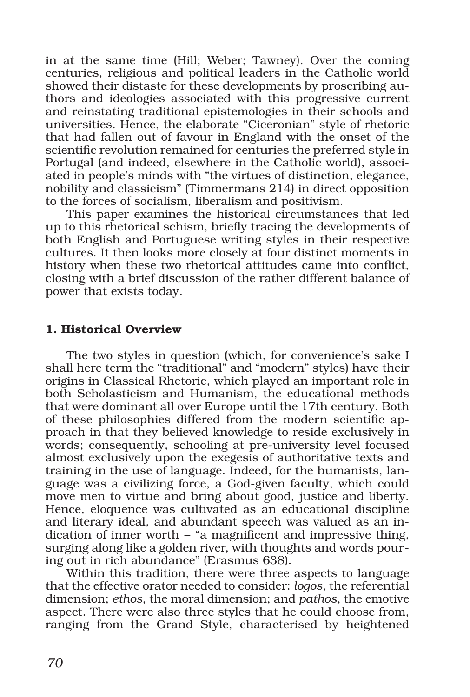in at the same time (Hill; Weber; Tawney). Over the coming centuries, religious and political leaders in the Catholic world showed their distaste for these developments by proscribing authors and ideologies associated with this progressive current and reinstating traditional epistemologies in their schools and universities. Hence, the elaborate "Ciceronian" style of rhetoric that had fallen out of favour in England with the onset of the scientific revolution remained for centuries the preferred style in Portugal (and indeed, elsewhere in the Catholic world), associated in people's minds with "the virtues of distinction, elegance, nobility and classicism" (Timmermans 214) in direct opposition to the forces of socialism, liberalism and positivism.

This paper examines the historical circumstances that led up to this rhetorical schism, briefly tracing the developments of both English and Portuguese writing styles in their respective cultures. It then looks more closely at four distinct moments in history when these two rhetorical attitudes came into conflict, closing with a brief discussion of the rather different balance of power that exists today.

### 1. Historical Overview

The two styles in question (which, for convenience's sake I shall here term the "traditional" and "modern" styles) have their origins in Classical Rhetoric, which played an important role in both Scholasticism and Humanism, the educational methods that were dominant all over Europe until the 17th century. Both of these philosophies differed from the modern scientific approach in that they believed knowledge to reside exclusively in words; consequently, schooling at pre-university level focused almost exclusively upon the exegesis of authoritative texts and training in the use of language. Indeed, for the humanists, language was a civilizing force, a God-given faculty, which could move men to virtue and bring about good, justice and liberty. Hence, eloquence was cultivated as an educational discipline and literary ideal, and abundant speech was valued as an indication of inner worth − "a magnificent and impressive thing, surging along like a golden river, with thoughts and words pouring out in rich abundance" (Erasmus 638).

Within this tradition, there were three aspects to language that the effective orator needed to consider: *logos*, the referential dimension; *ethos*, the moral dimension; and *pathos*, the emotive aspect. There were also three styles that he could choose from, ranging from the Grand Style, characterised by heightened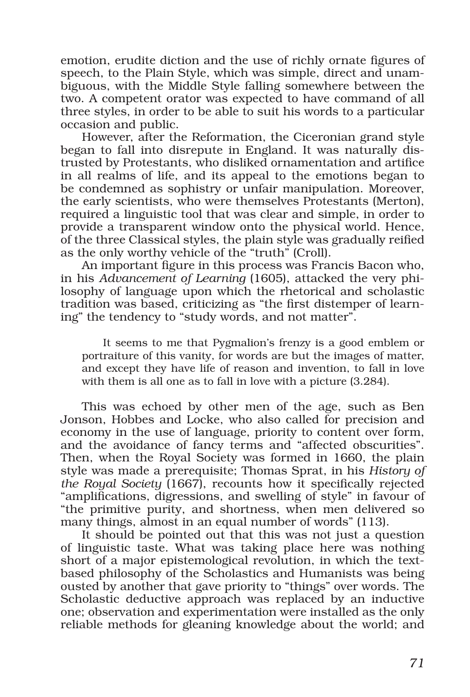emotion, erudite diction and the use of richly ornate figures of speech, to the Plain Style, which was simple, direct and unambiguous, with the Middle Style falling somewhere between the two. A competent orator was expected to have command of all three styles, in order to be able to suit his words to a particular occasion and public.

However, after the Reformation, the Ciceronian grand style began to fall into disrepute in England. It was naturally distrusted by Protestants, who disliked ornamentation and artifice in all realms of life, and its appeal to the emotions began to be condemned as sophistry or unfair manipulation. Moreover, the early scientists, who were themselves Protestants (Merton), required a linguistic tool that was clear and simple, in order to provide a transparent window onto the physical world. Hence, of the three Classical styles, the plain style was gradually reified as the only worthy vehicle of the "truth" (Croll).

An important figure in this process was Francis Bacon who, in his *Advancement of Learning* (1605), attacked the very philosophy of language upon which the rhetorical and scholastic tradition was based, criticizing as "the first distemper of learning" the tendency to "study words, and not matter".

It seems to me that Pygmalion's frenzy is a good emblem or portraiture of this vanity, for words are but the images of matter, and except they have life of reason and invention, to fall in love with them is all one as to fall in love with a picture (3.284).

This was echoed by other men of the age, such as Ben Jonson, Hobbes and Locke, who also called for precision and economy in the use of language, priority to content over form, and the avoidance of fancy terms and "affected obscurities". Then, when the Royal Society was formed in 1660, the plain style was made a prerequisite; Thomas Sprat, in his *History of the Royal Society* (1667), recounts how it specifically rejected "amplifications, digressions, and swelling of style" in favour of "the primitive purity, and shortness, when men delivered so many things, almost in an equal number of words" (113).

It should be pointed out that this was not just a question of linguistic taste. What was taking place here was nothing short of a major epistemological revolution, in which the textbased philosophy of the Scholastics and Humanists was being ousted by another that gave priority to "things" over words. The Scholastic deductive approach was replaced by an inductive one; observation and experimentation were installed as the only reliable methods for gleaning knowledge about the world; and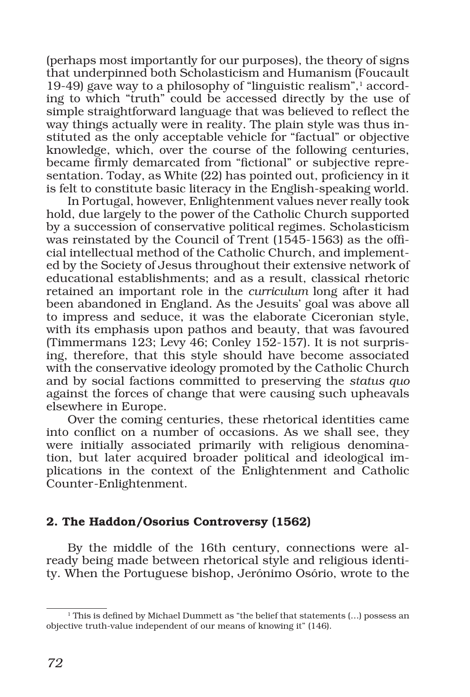(perhaps most importantly for our purposes), the theory of signs that underpinned both Scholasticism and Humanism (Foucault 19-49) gave way to a philosophy of "linguistic realism",1 according to which "truth" could be accessed directly by the use of simple straightforward language that was believed to reflect the way things actually were in reality. The plain style was thus instituted as the only acceptable vehicle for "factual" or objective knowledge, which, over the course of the following centuries, became firmly demarcated from "fictional" or subjective representation. Today, as White (22) has pointed out, proficiency in it is felt to constitute basic literacy in the English-speaking world.

In Portugal, however, Enlightenment values never really took hold, due largely to the power of the Catholic Church supported by a succession of conservative political regimes. Scholasticism was reinstated by the Council of Trent (1545-1563) as the official intellectual method of the Catholic Church, and implemented by the Society of Jesus throughout their extensive network of educational establishments; and as a result, classical rhetoric retained an important role in the *curriculum* long after it had been abandoned in England. As the Jesuits' goal was above all to impress and seduce, it was the elaborate Ciceronian style, with its emphasis upon pathos and beauty, that was favoured (Timmermans 123; Levy 46; Conley 152-157). It is not surprising, therefore, that this style should have become associated with the conservative ideology promoted by the Catholic Church and by social factions committed to preserving the *status quo* against the forces of change that were causing such upheavals elsewhere in Europe.

Over the coming centuries, these rhetorical identities came into conflict on a number of occasions. As we shall see, they were initially associated primarily with religious denomination, but later acquired broader political and ideological implications in the context of the Enlightenment and Catholic Counter-Enlightenment.

# 2. The Haddon/Osorius Controversy (1562)

By the middle of the 16th century, connections were already being made between rhetorical style and religious identity. When the Portuguese bishop, Jerónimo Osório, wrote to the

<sup>&</sup>lt;sup>1</sup> This is defined by Michael Dummett as "the belief that statements (...) possess an objective truth-value independent of our means of knowing it" (146).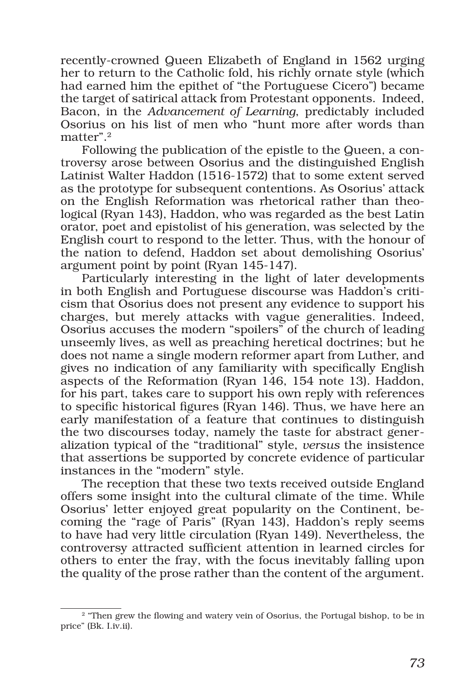recently-crowned Queen Elizabeth of England in 1562 urging her to return to the Catholic fold, his richly ornate style (which had earned him the epithet of "the Portuguese Cicero") became the target of satirical attack from Protestant opponents. Indeed, Bacon, in the *Advancement of Learning*, predictably included Osorius on his list of men who "hunt more after words than matter".2

Following the publication of the epistle to the Queen, a controversy arose between Osorius and the distinguished English Latinist Walter Haddon (1516-1572) that to some extent served as the prototype for subsequent contentions. As Osorius' attack on the English Reformation was rhetorical rather than theological (Ryan 143), Haddon, who was regarded as the best Latin orator, poet and epistolist of his generation, was selected by the English court to respond to the letter. Thus, with the honour of the nation to defend, Haddon set about demolishing Osorius' argument point by point (Ryan 145-147).

Particularly interesting in the light of later developments in both English and Portuguese discourse was Haddon's criticism that Osorius does not present any evidence to support his charges, but merely attacks with vague generalities. Indeed, Osorius accuses the modern "spoilers" of the church of leading unseemly lives, as well as preaching heretical doctrines; but he does not name a single modern reformer apart from Luther, and gives no indication of any familiarity with specifically English aspects of the Reformation (Ryan 146, 154 note 13). Haddon, for his part, takes care to support his own reply with references to specific historical figures (Ryan 146). Thus, we have here an early manifestation of a feature that continues to distinguish the two discourses today, namely the taste for abstract generalization typical of the "traditional" style, *versus* the insistence that assertions be supported by concrete evidence of particular instances in the "modern" style.

The reception that these two texts received outside England offers some insight into the cultural climate of the time. While Osorius' letter enjoyed great popularity on the Continent, becoming the "rage of Paris" (Ryan 143), Haddon's reply seems to have had very little circulation (Ryan 149). Nevertheless, the controversy attracted sufficient attention in learned circles for others to enter the fray, with the focus inevitably falling upon the quality of the prose rather than the content of the argument.

<sup>&</sup>lt;sup>2</sup> "Then grew the flowing and watery vein of Osorius, the Portugal bishop, to be in price" (Bk. I.iv.ii).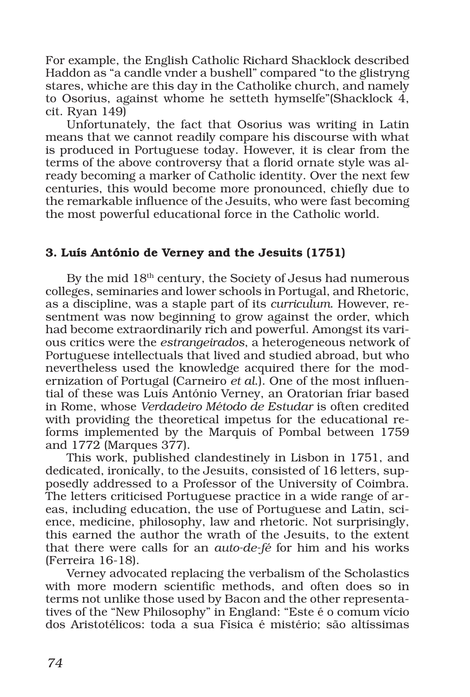For example, the English Catholic Richard Shacklock described Haddon as "a candle vnder a bushell" compared "to the glistryng stares, whiche are this day in the Catholike church, and namely to Osorius, against whome he setteth hymselfe"(Shacklock 4, cit. Ryan 149)

Unfortunately, the fact that Osorius was writing in Latin means that we cannot readily compare his discourse with what is produced in Portuguese today. However, it is clear from the terms of the above controversy that a florid ornate style was already becoming a marker of Catholic identity. Over the next few centuries, this would become more pronounced, chiefly due to the remarkable influence of the Jesuits, who were fast becoming the most powerful educational force in the Catholic world.

# 3. Luís António de Verney and the Jesuits (1751)

By the mid 18th century, the Society of Jesus had numerous colleges, seminaries and lower schools in Portugal, and Rhetoric, as a discipline, was a staple part of its *curriculum*. However, resentment was now beginning to grow against the order, which had become extraordinarily rich and powerful. Amongst its various critics were the *estrangeirados*, a heterogeneous network of Portuguese intellectuals that lived and studied abroad, but who nevertheless used the knowledge acquired there for the modernization of Portugal (Carneiro *et al*.). One of the most influential of these was Luís António Verney, an Oratorian friar based in Rome, whose *Verdadeiro Método de Estudar* is often credited with providing the theoretical impetus for the educational reforms implemented by the Marquis of Pombal between 1759 and 1772 (Marques 377).

This work, published clandestinely in Lisbon in 1751, and dedicated, ironically, to the Jesuits, consisted of 16 letters, supposedly addressed to a Professor of the University of Coimbra. The letters criticised Portuguese practice in a wide range of areas, including education, the use of Portuguese and Latin, science, medicine, philosophy, law and rhetoric. Not surprisingly, this earned the author the wrath of the Jesuits, to the extent that there were calls for an *auto-de-fé* for him and his works (Ferreira 16-18).

Verney advocated replacing the verbalism of the Scholastics with more modern scientific methods, and often does so in terms not unlike those used by Bacon and the other representatives of the "New Philosophy" in England: "Este é o comum vício dos Aristotélicos: toda a sua Física é mistério; são altíssimas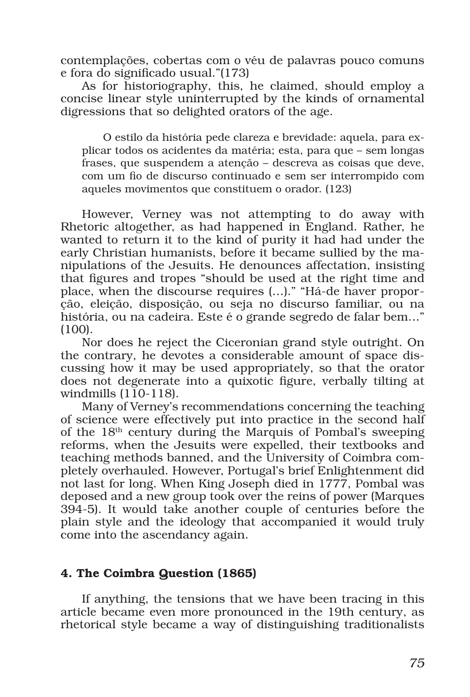contemplações, cobertas com o véu de palavras pouco comuns e fora do significado usual."(173)

As for historiography, this, he claimed, should employ a concise linear style uninterrupted by the kinds of ornamental digressions that so delighted orators of the age.

O estilo da história pede clareza e brevidade: aquela, para explicar todos os acidentes da matéria; esta, para que – sem longas frases, que suspendem a atenção – descreva as coisas que deve, com um fio de discurso continuado e sem ser interrompido com aqueles movimentos que constituem o orador. (123)

However, Verney was not attempting to do away with Rhetoric altogether, as had happened in England. Rather, he wanted to return it to the kind of purity it had had under the early Christian humanists, before it became sullied by the manipulations of the Jesuits. He denounces affectation, insisting that figures and tropes "should be used at the right time and place, when the discourse requires (…)." "Há-de haver proporção, eleição, disposição, ou seja no discurso familiar, ou na história, ou na cadeira. Este é o grande segredo de falar bem…" (100).

Nor does he reject the Ciceronian grand style outright. On the contrary, he devotes a considerable amount of space discussing how it may be used appropriately, so that the orator does not degenerate into a quixotic figure, verbally tilting at windmills  $(110-118)$ .

Many of Verney's recommendations concerning the teaching of science were effectively put into practice in the second half of the  $18<sup>th</sup>$  century during the Marquis of Pombal's sweeping reforms, when the Jesuits were expelled, their textbooks and teaching methods banned, and the University of Coimbra completely overhauled. However, Portugal's brief Enlightenment did not last for long. When King Joseph died in 1777, Pombal was deposed and a new group took over the reins of power (Marques 394-5). It would take another couple of centuries before the plain style and the ideology that accompanied it would truly come into the ascendancy again.

# 4. The Coimbra Question (1865)

If anything, the tensions that we have been tracing in this article became even more pronounced in the 19th century, as rhetorical style became a way of distinguishing traditionalists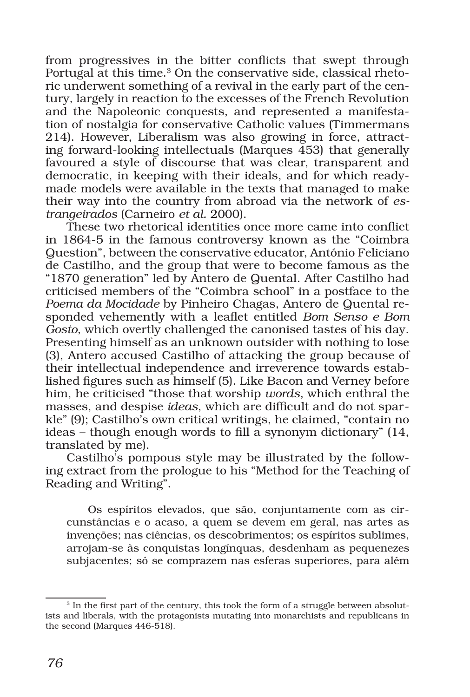from progressives in the bitter conflicts that swept through Portugal at this time.<sup>3</sup> On the conservative side, classical rhetoric underwent something of a revival in the early part of the century, largely in reaction to the excesses of the French Revolution and the Napoleonic conquests, and represented a manifestation of nostalgia for conservative Catholic values (Timmermans 214). However, Liberalism was also growing in force, attracting forward-looking intellectuals (Marques 453) that generally favoured a style of discourse that was clear, transparent and democratic, in keeping with their ideals, and for which readymade models were available in the texts that managed to make their way into the country from abroad via the network of *estrangeirados* (Carneiro *et al.* 2000).

These two rhetorical identities once more came into conflict in 1864-5 in the famous controversy known as the "Coimbra Question", between the conservative educator, António Feliciano de Castilho, and the group that were to become famous as the "1870 generation" led by Antero de Quental. After Castilho had criticised members of the "Coimbra school" in a postface to the *Poema da Mocidade* by Pinheiro Chagas, Antero de Quental responded vehemently with a leaflet entitled *Bom Senso e Bom Gosto*, which overtly challenged the canonised tastes of his day. Presenting himself as an unknown outsider with nothing to lose (3), Antero accused Castilho of attacking the group because of their intellectual independence and irreverence towards established figures such as himself (5). Like Bacon and Verney before him, he criticised "those that worship *words*, which enthral the masses, and despise *ideas*, which are difficult and do not sparkle" (9); Castilho's own critical writings, he claimed, "contain no ideas – though enough words to fill a synonym dictionary" (14, translated by me).

Castilho's pompous style may be illustrated by the following extract from the prologue to his "Method for the Teaching of Reading and Writing".

Os espíritos elevados, que são, conjuntamente com as circunstâncias e o acaso, a quem se devem em geral, nas artes as invenções; nas ciências, os descobrimentos; os espíritos sublimes, arrojam-se às conquistas longínquas, desdenham as pequenezes subjacentes; só se comprazem nas esferas superiores, para além

<sup>&</sup>lt;sup>3</sup> In the first part of the century, this took the form of a struggle between absolutists and liberals, with the protagonists mutating into monarchists and republicans in the second (Marques 446-518).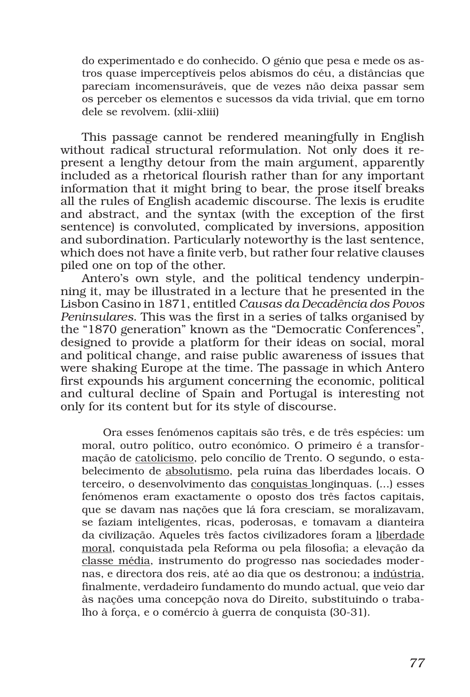do experimentado e do conhecido. O génio que pesa e mede os astros quase imperceptíveis pelos abismos do céu, a distâncias que pareciam incomensuráveis, que de vezes não deixa passar sem os perceber os elementos e sucessos da vida trivial, que em torno dele se revolvem. (xlii-xliii)

This passage cannot be rendered meaningfully in English without radical structural reformulation. Not only does it represent a lengthy detour from the main argument, apparently included as a rhetorical flourish rather than for any important information that it might bring to bear, the prose itself breaks all the rules of English academic discourse. The lexis is erudite and abstract, and the syntax (with the exception of the first sentence) is convoluted, complicated by inversions, apposition and subordination. Particularly noteworthy is the last sentence, which does not have a finite verb, but rather four relative clauses piled one on top of the other.

Antero's own style, and the political tendency underpinning it, may be illustrated in a lecture that he presented in the Lisbon Casino in 1871, entitled *Causas da Decadência dos Povos Peninsulares*. This was the first in a series of talks organised by the "1870 generation" known as the "Democratic Conferences", designed to provide a platform for their ideas on social, moral and political change, and raise public awareness of issues that were shaking Europe at the time. The passage in which Antero first expounds his argument concerning the economic, political and cultural decline of Spain and Portugal is interesting not only for its content but for its style of discourse.

Ora esses fenómenos capitais são três, e de três espécies: um moral, outro político, outro económico. O primeiro é a transformação de catolicismo, pelo concílio de Trento. O segundo, o estabelecimento de absolutismo, pela ruína das liberdades locais. O terceiro, o desenvolvimento das conquistas longinquas. (...) esses fenómenos eram exactamente o oposto dos três factos capitais, que se davam nas nações que lá fora cresciam, se moralizavam, se faziam inteligentes, ricas, poderosas, e tomavam a dianteira da civilização. Aqueles três factos civilizadores foram a liberdade moral, conquistada pela Reforma ou pela filosofia; a elevação da classe média, instrumento do progresso nas sociedades modernas, e directora dos reis, até ao dia que os destronou; a indústria, finalmente, verdadeiro fundamento do mundo actual, que veio dar às nações uma concepção nova do Direito, substituindo o trabalho à força, e o comércio à guerra de conquista (30-31).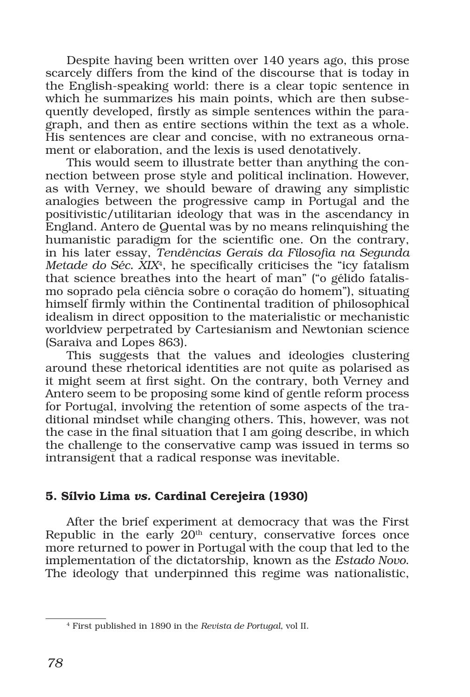Despite having been written over 140 years ago, this prose scarcely differs from the kind of the discourse that is today in the English-speaking world: there is a clear topic sentence in which he summarizes his main points, which are then subsequently developed, firstly as simple sentences within the paragraph, and then as entire sections within the text as a whole. His sentences are clear and concise, with no extraneous ornament or elaboration, and the lexis is used denotatively.

This would seem to illustrate better than anything the connection between prose style and political inclination. However, as with Verney, we should beware of drawing any simplistic analogies between the progressive camp in Portugal and the positivistic/utilitarian ideology that was in the ascendancy in England. Antero de Quental was by no means relinquishing the humanistic paradigm for the scientific one. On the contrary, in his later essay, *Tendências Gerais da Filosofia na Segunda Metade do Séc. XIX*4, he specifically criticises the "icy fatalism that science breathes into the heart of man" ("o gélido fatalismo soprado pela ciência sobre o coração do homem"), situating himself firmly within the Continental tradition of philosophical idealism in direct opposition to the materialistic or mechanistic worldview perpetrated by Cartesianism and Newtonian science (Saraiva and Lopes 863).

This suggests that the values and ideologies clustering around these rhetorical identities are not quite as polarised as it might seem at first sight. On the contrary, both Verney and Antero seem to be proposing some kind of gentle reform process for Portugal, involving the retention of some aspects of the traditional mindset while changing others. This, however, was not the case in the final situation that I am going describe, in which the challenge to the conservative camp was issued in terms so intransigent that a radical response was inevitable.

# 5. Sílvio Lima *vs.* Cardinal Cerejeira (1930)

After the brief experiment at democracy that was the First Republic in the early  $20<sup>th</sup>$  century, conservative forces once more returned to power in Portugal with the coup that led to the implementation of the dictatorship, known as the *Estado Novo*. The ideology that underpinned this regime was nationalistic,

<sup>4</sup> First published in 1890 in the *Revista de Portugal*, vol II.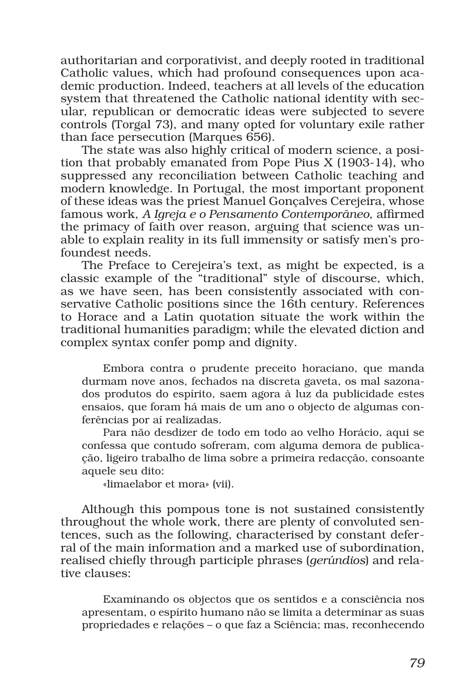authoritarian and corporativist, and deeply rooted in traditional Catholic values, which had profound consequences upon academic production. Indeed, teachers at all levels of the education system that threatened the Catholic national identity with secular, republican or democratic ideas were subjected to severe controls (Torgal 73), and many opted for voluntary exile rather than face persecution (Marques 656).

The state was also highly critical of modern science, a position that probably emanated from Pope Pius X (1903-14), who suppressed any reconciliation between Catholic teaching and modern knowledge. In Portugal, the most important proponent of these ideas was the priest Manuel Gonçalves Cerejeira, whose famous work, *A Igreja e o Pensamento Contemporâneo*, affirmed the primacy of faith over reason, arguing that science was unable to explain reality in its full immensity or satisfy men's profoundest needs.

The Preface to Cerejeira's text, as might be expected, is a classic example of the "traditional" style of discourse, which, as we have seen, has been consistently associated with conservative Catholic positions since the 16th century. References to Horace and a Latin quotation situate the work within the traditional humanities paradigm; while the elevated diction and complex syntax confer pomp and dignity.

Embora contra o prudente preceito horaciano, que manda durmam nove anos, fechados na discreta gaveta, os mal sazonados produtos do espírito, saem agora à luz da publicidade estes ensaios, que foram há mais de um ano o objecto de algumas conferências por aí realizadas.

Para não desdizer de todo em todo ao velho Horácio, aqui se confessa que contudo sofreram, com alguma demora de publicação, ligeiro trabalho de lima sobre a primeira redacção, consoante aquele seu dito:

«limaelabor et mora» (vii).

Although this pompous tone is not sustained consistently throughout the whole work, there are plenty of convoluted sentences, such as the following, characterised by constant deferral of the main information and a marked use of subordination, realised chiefly through participle phrases (*gerúndios*) and relative clauses:

Examinando os objectos que os sentidos e a consciência nos apresentam, o espírito humano não se limita a determinar as suas propriedades e relações – o que faz a Sciência; mas, reconhecendo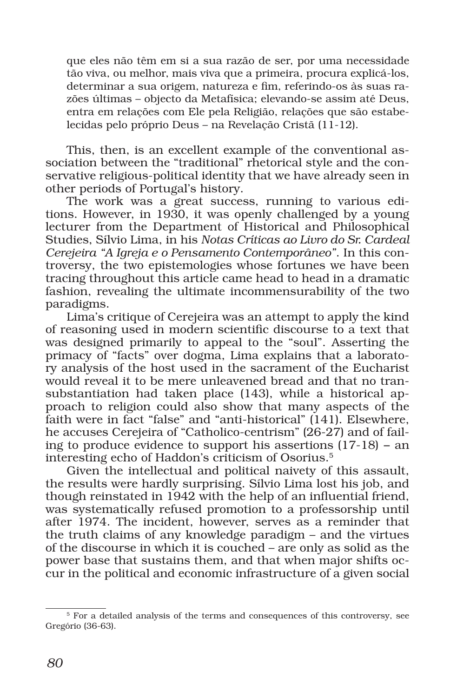que eles não têm em si a sua razão de ser, por uma necessidade tão viva, ou melhor, mais viva que a primeira, procura explicá-los, determinar a sua origem, natureza e fim, referindo-os às suas razões últimas – objecto da Metafísica; elevando-se assim até Deus, entra em relações com Ele pela Religião, relações que são estabelecidas pelo próprio Deus – na Revelação Cristã (11-12).

This, then, is an excellent example of the conventional association between the "traditional" rhetorical style and the conservative religious-political identity that we have already seen in other periods of Portugal's history.

The work was a great success, running to various editions. However, in 1930, it was openly challenged by a young lecturer from the Department of Historical and Philosophical Studies, Sílvio Lima, in his *Notas Críticas ao Livro do Sr. Cardeal Cerejeira "A Igreja e o Pensamento Contemporâneo"*. In this controversy, the two epistemologies whose fortunes we have been tracing throughout this article came head to head in a dramatic fashion, revealing the ultimate incommensurability of the two paradigms.

Lima's critique of Cerejeira was an attempt to apply the kind of reasoning used in modern scientific discourse to a text that was designed primarily to appeal to the "soul". Asserting the primacy of "facts" over dogma, Lima explains that a laboratory analysis of the host used in the sacrament of the Eucharist would reveal it to be mere unleavened bread and that no transubstantiation had taken place (143), while a historical approach to religion could also show that many aspects of the faith were in fact "false" and "anti-historical" (141). Elsewhere, he accuses Cerejeira of "Catholico-centrism" (26-27) and of failing to produce evidence to support his assertions (17-18) − an interesting echo of Haddon's criticism of Osorius.5

Given the intellectual and political naivety of this assault, the results were hardly surprising. Sílvio Lima lost his job, and though reinstated in 1942 with the help of an influential friend, was systematically refused promotion to a professorship until after 1974. The incident, however, serves as a reminder that the truth claims of any knowledge paradigm – and the virtues of the discourse in which it is couched – are only as solid as the power base that sustains them, and that when major shifts occur in the political and economic infrastructure of a given social

<sup>5</sup> For a detailed analysis of the terms and consequences of this controversy, see Gregório (36-63).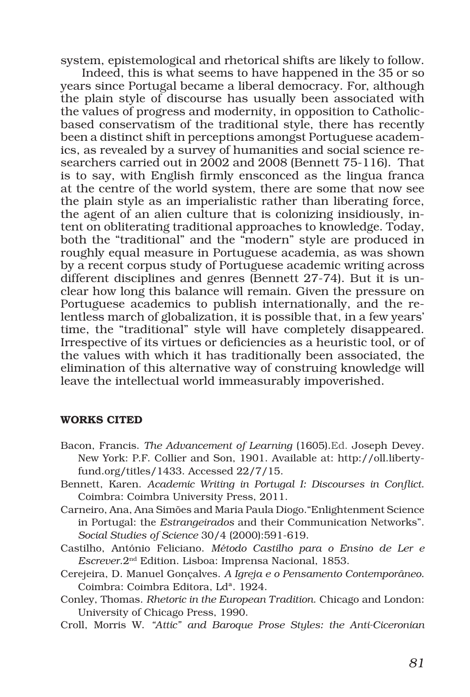system, epistemological and rhetorical shifts are likely to follow.

Indeed, this is what seems to have happened in the 35 or so years since Portugal became a liberal democracy. For, although the plain style of discourse has usually been associated with the values of progress and modernity, in opposition to Catholicbased conservatism of the traditional style, there has recently been a distinct shift in perceptions amongst Portuguese academics, as revealed by a survey of humanities and social science researchers carried out in 2002 and 2008 (Bennett 75-116). That is to say, with English firmly ensconced as the lingua franca at the centre of the world system, there are some that now see the plain style as an imperialistic rather than liberating force, the agent of an alien culture that is colonizing insidiously, intent on obliterating traditional approaches to knowledge. Today, both the "traditional" and the "modern" style are produced in roughly equal measure in Portuguese academia, as was shown by a recent corpus study of Portuguese academic writing across different disciplines and genres (Bennett 27-74). But it is unclear how long this balance will remain. Given the pressure on Portuguese academics to publish internationally, and the relentless march of globalization, it is possible that, in a few years' time, the "traditional" style will have completely disappeared. Irrespective of its virtues or deficiencies as a heuristic tool, or of the values with which it has traditionally been associated, the elimination of this alternative way of construing knowledge will leave the intellectual world immeasurably impoverished.

### WORKS CITED

- Bacon, Francis. *The Advancement of Learning* (1605).Ed. Joseph Devey. New York: P.F. Collier and Son, 1901. Available at: http://oll.libertyfund.org/titles/1433. Accessed 22/7/15.
- Bennett, Karen. *Academic Writing in Portugal I: Discourses in Conflict*. Coimbra: Coimbra University Press, 2011.
- Carneiro, Ana, Ana Simões and Maria Paula Diogo."Enlightenment Science in Portugal: the *Estrangeirados* and their Communication Networks". *Social Studies of Science* 30/4 (2000):591-619.
- Castilho, António Feliciano. *Método Castilho para o Ensino de Ler e Escrever*.2nd Edition. Lisboa: Imprensa Nacional, 1853.
- Cerejeira, D. Manuel Gonçalves. *A Igreja e o Pensamento Contemporâneo*. Coimbra: Coimbra Editora, Ldª. 1924.
- Conley, Thomas. *Rhetoric in the European Tradition*. Chicago and London: University of Chicago Press, 1990.
- Croll, Morris W. *"Attic" and Baroque Prose Styles: the Anti-Ciceronian*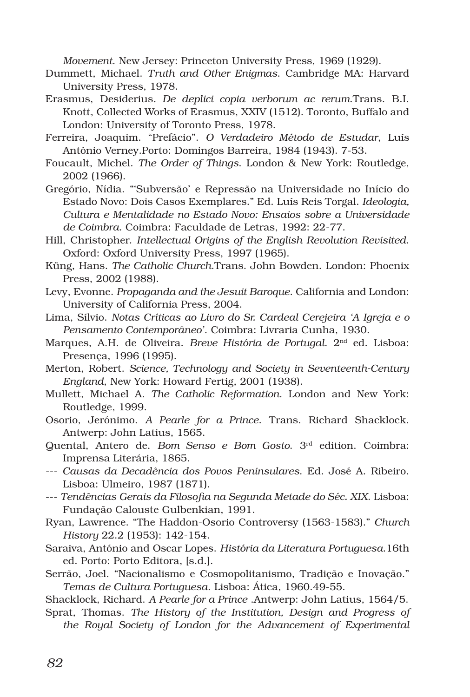*Movement*. New Jersey: Princeton University Press, 1969 (1929).

- Dummett, Michael. *Truth and Other Enigmas*. Cambridge MA: Harvard University Press, 1978.
- Erasmus, Desiderius*. De deplici copia verborum ac rerum*.Trans. B.I. Knott, Collected Works of Erasmus, XXIV (1512). Toronto, Buffalo and London: University of Toronto Press, 1978.
- Ferreira, Joaquim. "Prefácio". *O Verdadeiro Método de Estudar*, Luís António Verney.Porto: Domingos Barreira, 1984 (1943). 7-53.
- Foucault, Michel. *The Order of Things*. London & New York: Routledge, 2002 (1966).
- Gregório, Nídia. "'Subversão' e Repressão na Universidade no Início do Estado Novo: Dois Casos Exemplares." Ed. Luís Reis Torgal. *Ideologia, Cultura e Mentalidade no Estado Novo: Ensaios sobre a Universidade de Coimbra*. Coimbra: Faculdade de Letras, 1992: 22-77.
- Hill, Christopher. *Intellectual Origins of the English Revolution Revisited*. Oxford: Oxford University Press, 1997 (1965).
- Küng, Hans. *The Catholic Church*.Trans. John Bowden. London: Phoenix Press, 2002 (1988).
- Levy, Evonne. *Propaganda and the Jesuit Baroque*. California and London: University of California Press, 2004.
- Lima, Sílvio. *Notas Críticas ao Livro do Sr. Cardeal Cerejeira 'A Igreja e o Pensamento Contemporâneo'*. Coimbra: Livraria Cunha, 1930.
- Marques, A.H. de Oliveira. *Breve História de Portugal*. 2nd ed. Lisboa: Presença, 1996 (1995).
- Merton, Robert. *Science, Technology and Society in Seventeenth-Century England*, New York: Howard Fertig, 2001 (1938).
- Mullett, Michael A. *The Catholic Reformation*. London and New York: Routledge, 1999.
- Osorio, Jerónimo. *A Pearle for a Prince*. Trans. Richard Shacklock. Antwerp: John Latius, 1565.
- Quental, Antero de. *Bom Senso e Bom Gosto*. 3rd edition. Coimbra: Imprensa Literária, 1865.
- --- *Causas da Decadência dos Povos Peninsulares*. Ed. José A. Ribeiro. Lisboa: Ulmeiro, 1987 (1871).
- --- *Tendências Gerais da Filosofia na Segunda Metade do Séc. XIX*. Lisboa: Fundação Calouste Gulbenkian, 1991.
- Ryan, Lawrence. "The Haddon-Osorio Controversy (1563-1583)." *Church History* 22.2 (1953): 142-154.
- Saraiva, António and Oscar Lopes. *História da Literatura Portuguesa*.16th ed. Porto: Porto Editora, [s.d.].
- Serrão, Joel. "Nacionalismo e Cosmopolitanismo, Tradição e Inovação." *Temas de Cultura Portuguesa*. Lisboa: Ática, 1960.49-55.
- Shacklock, Richard. *A Pearle for a Prince* .Antwerp: John Latius, 1564/5.
- Sprat, Thomas. *The History of the Institution, Design and Progress of the Royal Society of London for the Advancement of Experimental*